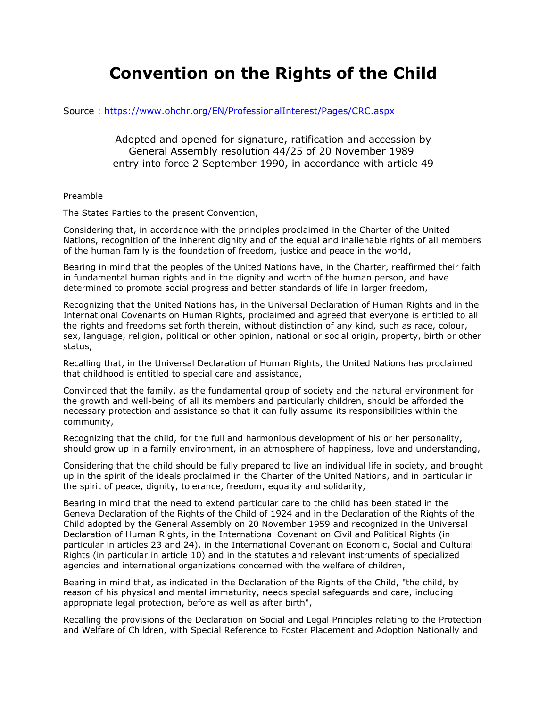# **Convention on the Rights of the Child**

Source :<https://www.ohchr.org/EN/ProfessionalInterest/Pages/CRC.aspx>

Adopted and opened for signature, ratification and accession by General Assembly resolution 44/25 of 20 November 1989 entry into force 2 September 1990, in accordance with article 49

#### Preamble

The States Parties to the present Convention,

Considering that, in accordance with the principles proclaimed in the Charter of the United Nations, recognition of the inherent dignity and of the equal and inalienable rights of all members of the human family is the foundation of freedom, justice and peace in the world,

Bearing in mind that the peoples of the United Nations have, in the Charter, reaffirmed their faith in fundamental human rights and in the dignity and worth of the human person, and have determined to promote social progress and better standards of life in larger freedom,

Recognizing that the United Nations has, in the Universal Declaration of Human Rights and in the International Covenants on Human Rights, proclaimed and agreed that everyone is entitled to all the rights and freedoms set forth therein, without distinction of any kind, such as race, colour, sex, language, religion, political or other opinion, national or social origin, property, birth or other status,

Recalling that, in the Universal Declaration of Human Rights, the United Nations has proclaimed that childhood is entitled to special care and assistance,

Convinced that the family, as the fundamental group of society and the natural environment for the growth and well-being of all its members and particularly children, should be afforded the necessary protection and assistance so that it can fully assume its responsibilities within the community,

Recognizing that the child, for the full and harmonious development of his or her personality, should grow up in a family environment, in an atmosphere of happiness, love and understanding,

Considering that the child should be fully prepared to live an individual life in society, and brought up in the spirit of the ideals proclaimed in the Charter of the United Nations, and in particular in the spirit of peace, dignity, tolerance, freedom, equality and solidarity,

Bearing in mind that the need to extend particular care to the child has been stated in the Geneva Declaration of the Rights of the Child of 1924 and in the Declaration of the Rights of the Child adopted by the General Assembly on 20 November 1959 and recognized in the Universal Declaration of Human Rights, in the International Covenant on Civil and Political Rights (in particular in articles 23 and 24), in the International Covenant on Economic, Social and Cultural Rights (in particular in article 10) and in the statutes and relevant instruments of specialized agencies and international organizations concerned with the welfare of children,

Bearing in mind that, as indicated in the Declaration of the Rights of the Child, "the child, by reason of his physical and mental immaturity, needs special safeguards and care, including appropriate legal protection, before as well as after birth",

Recalling the provisions of the Declaration on Social and Legal Principles relating to the Protection and Welfare of Children, with Special Reference to Foster Placement and Adoption Nationally and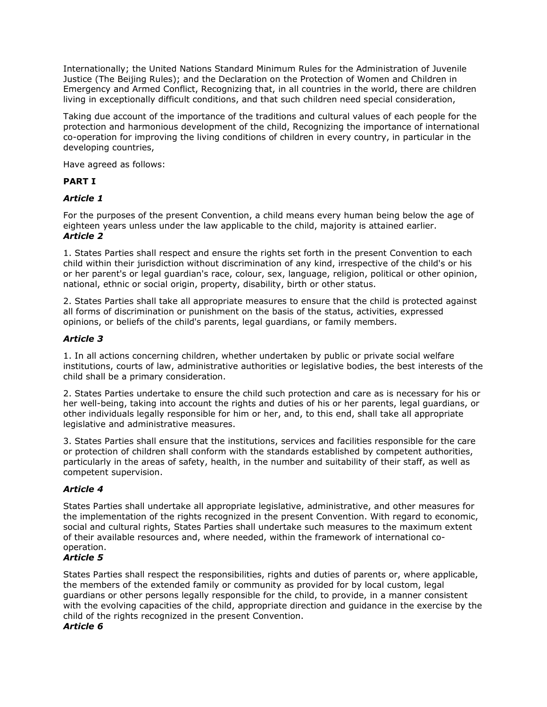Internationally; the United Nations Standard Minimum Rules for the Administration of Juvenile Justice (The Beijing Rules); and the Declaration on the Protection of Women and Children in Emergency and Armed Conflict, Recognizing that, in all countries in the world, there are children living in exceptionally difficult conditions, and that such children need special consideration,

Taking due account of the importance of the traditions and cultural values of each people for the protection and harmonious development of the child, Recognizing the importance of international co-operation for improving the living conditions of children in every country, in particular in the developing countries,

Have agreed as follows:

# **PART I**

# *Article 1*

For the purposes of the present Convention, a child means every human being below the age of eighteen years unless under the law applicable to the child, majority is attained earlier. *Article 2*

1. States Parties shall respect and ensure the rights set forth in the present Convention to each child within their jurisdiction without discrimination of any kind, irrespective of the child's or his or her parent's or legal guardian's race, colour, sex, language, religion, political or other opinion, national, ethnic or social origin, property, disability, birth or other status.

2. States Parties shall take all appropriate measures to ensure that the child is protected against all forms of discrimination or punishment on the basis of the status, activities, expressed opinions, or beliefs of the child's parents, legal guardians, or family members.

# *Article 3*

1. In all actions concerning children, whether undertaken by public or private social welfare institutions, courts of law, administrative authorities or legislative bodies, the best interests of the child shall be a primary consideration.

2. States Parties undertake to ensure the child such protection and care as is necessary for his or her well-being, taking into account the rights and duties of his or her parents, legal guardians, or other individuals legally responsible for him or her, and, to this end, shall take all appropriate legislative and administrative measures.

3. States Parties shall ensure that the institutions, services and facilities responsible for the care or protection of children shall conform with the standards established by competent authorities, particularly in the areas of safety, health, in the number and suitability of their staff, as well as competent supervision.

# *Article 4*

States Parties shall undertake all appropriate legislative, administrative, and other measures for the implementation of the rights recognized in the present Convention. With regard to economic, social and cultural rights, States Parties shall undertake such measures to the maximum extent of their available resources and, where needed, within the framework of international cooperation.

# *Article 5*

States Parties shall respect the responsibilities, rights and duties of parents or, where applicable, the members of the extended family or community as provided for by local custom, legal guardians or other persons legally responsible for the child, to provide, in a manner consistent with the evolving capacities of the child, appropriate direction and guidance in the exercise by the child of the rights recognized in the present Convention.

#### *Article 6*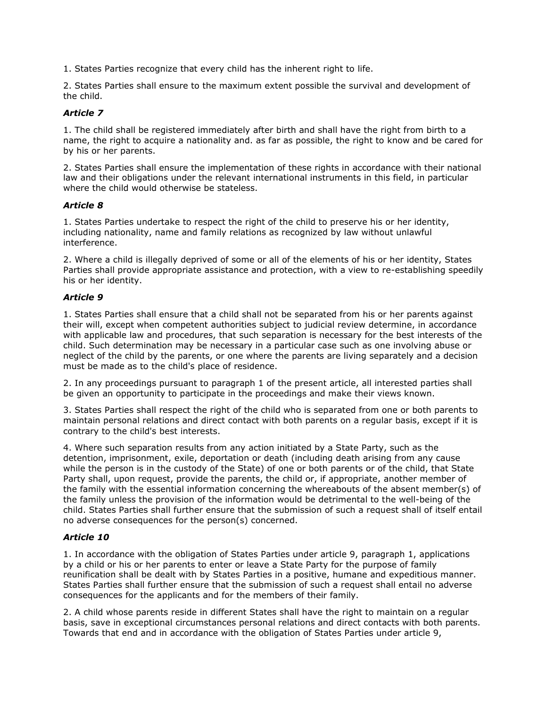1. States Parties recognize that every child has the inherent right to life.

2. States Parties shall ensure to the maximum extent possible the survival and development of the child.

# *Article 7*

1. The child shall be registered immediately after birth and shall have the right from birth to a name, the right to acquire a nationality and. as far as possible, the right to know and be cared for by his or her parents.

2. States Parties shall ensure the implementation of these rights in accordance with their national law and their obligations under the relevant international instruments in this field, in particular where the child would otherwise be stateless.

#### *Article 8*

1. States Parties undertake to respect the right of the child to preserve his or her identity, including nationality, name and family relations as recognized by law without unlawful interference.

2. Where a child is illegally deprived of some or all of the elements of his or her identity, States Parties shall provide appropriate assistance and protection, with a view to re-establishing speedily his or her identity.

# *Article 9*

1. States Parties shall ensure that a child shall not be separated from his or her parents against their will, except when competent authorities subject to judicial review determine, in accordance with applicable law and procedures, that such separation is necessary for the best interests of the child. Such determination may be necessary in a particular case such as one involving abuse or neglect of the child by the parents, or one where the parents are living separately and a decision must be made as to the child's place of residence.

2. In any proceedings pursuant to paragraph 1 of the present article, all interested parties shall be given an opportunity to participate in the proceedings and make their views known.

3. States Parties shall respect the right of the child who is separated from one or both parents to maintain personal relations and direct contact with both parents on a regular basis, except if it is contrary to the child's best interests.

4. Where such separation results from any action initiated by a State Party, such as the detention, imprisonment, exile, deportation or death (including death arising from any cause while the person is in the custody of the State) of one or both parents or of the child, that State Party shall, upon request, provide the parents, the child or, if appropriate, another member of the family with the essential information concerning the whereabouts of the absent member(s) of the family unless the provision of the information would be detrimental to the well-being of the child. States Parties shall further ensure that the submission of such a request shall of itself entail no adverse consequences for the person(s) concerned.

# *Article 10*

1. In accordance with the obligation of States Parties under article 9, paragraph 1, applications by a child or his or her parents to enter or leave a State Party for the purpose of family reunification shall be dealt with by States Parties in a positive, humane and expeditious manner. States Parties shall further ensure that the submission of such a request shall entail no adverse consequences for the applicants and for the members of their family.

2. A child whose parents reside in different States shall have the right to maintain on a regular basis, save in exceptional circumstances personal relations and direct contacts with both parents. Towards that end and in accordance with the obligation of States Parties under article 9,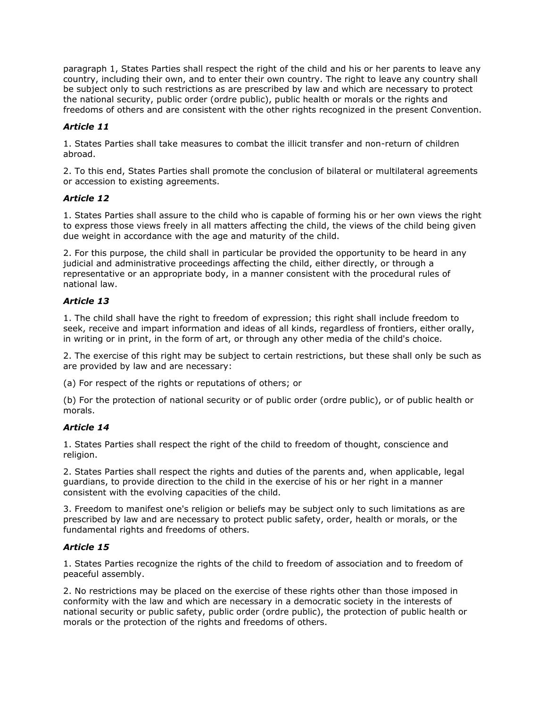paragraph 1, States Parties shall respect the right of the child and his or her parents to leave any country, including their own, and to enter their own country. The right to leave any country shall be subject only to such restrictions as are prescribed by law and which are necessary to protect the national security, public order (ordre public), public health or morals or the rights and freedoms of others and are consistent with the other rights recognized in the present Convention.

# *Article 11*

1. States Parties shall take measures to combat the illicit transfer and non-return of children abroad.

2. To this end, States Parties shall promote the conclusion of bilateral or multilateral agreements or accession to existing agreements.

# *Article 12*

1. States Parties shall assure to the child who is capable of forming his or her own views the right to express those views freely in all matters affecting the child, the views of the child being given due weight in accordance with the age and maturity of the child.

2. For this purpose, the child shall in particular be provided the opportunity to be heard in any judicial and administrative proceedings affecting the child, either directly, or through a representative or an appropriate body, in a manner consistent with the procedural rules of national law.

# *Article 13*

1. The child shall have the right to freedom of expression; this right shall include freedom to seek, receive and impart information and ideas of all kinds, regardless of frontiers, either orally, in writing or in print, in the form of art, or through any other media of the child's choice.

2. The exercise of this right may be subject to certain restrictions, but these shall only be such as are provided by law and are necessary:

(a) For respect of the rights or reputations of others; or

(b) For the protection of national security or of public order (ordre public), or of public health or morals.

# *Article 14*

1. States Parties shall respect the right of the child to freedom of thought, conscience and religion.

2. States Parties shall respect the rights and duties of the parents and, when applicable, legal guardians, to provide direction to the child in the exercise of his or her right in a manner consistent with the evolving capacities of the child.

3. Freedom to manifest one's religion or beliefs may be subject only to such limitations as are prescribed by law and are necessary to protect public safety, order, health or morals, or the fundamental rights and freedoms of others.

# *Article 15*

1. States Parties recognize the rights of the child to freedom of association and to freedom of peaceful assembly.

2. No restrictions may be placed on the exercise of these rights other than those imposed in conformity with the law and which are necessary in a democratic society in the interests of national security or public safety, public order (ordre public), the protection of public health or morals or the protection of the rights and freedoms of others.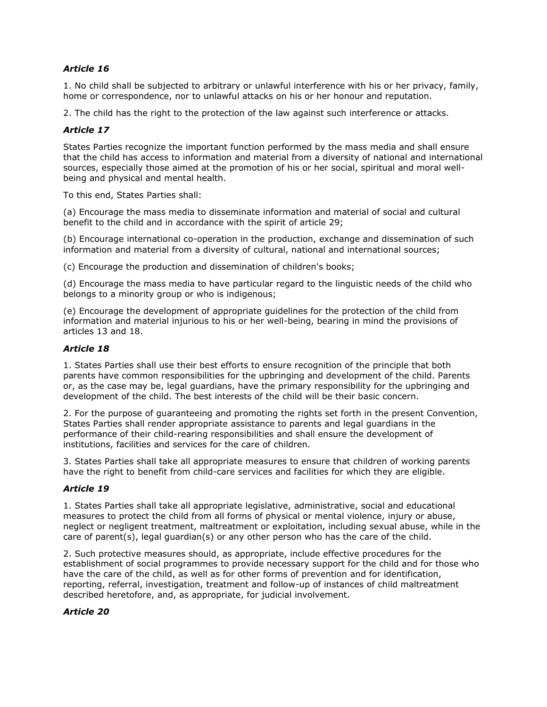# *Article 16*

1. No child shall be subjected to arbitrary or unlawful interference with his or her privacy, family, home or correspondence, nor to unlawful attacks on his or her honour and reputation.

2. The child has the right to the protection of the law against such interference or attacks.

# *Article 17*

States Parties recognize the important function performed by the mass media and shall ensure that the child has access to information and material from a diversity of national and international sources, especially those aimed at the promotion of his or her social, spiritual and moral wellbeing and physical and mental health.

To this end, States Parties shall:

(a) Encourage the mass media to disseminate information and material of social and cultural benefit to the child and in accordance with the spirit of article 29;

(b) Encourage international co-operation in the production, exchange and dissemination of such information and material from a diversity of cultural, national and international sources;

(c) Encourage the production and dissemination of children's books;

(d) Encourage the mass media to have particular regard to the linguistic needs of the child who belongs to a minority group or who is indigenous;

(e) Encourage the development of appropriate guidelines for the protection of the child from information and material injurious to his or her well-being, bearing in mind the provisions of articles 13 and 18.

## *Article 18*

1. States Parties shall use their best efforts to ensure recognition of the principle that both parents have common responsibilities for the upbringing and development of the child. Parents or, as the case may be, legal guardians, have the primary responsibility for the upbringing and development of the child. The best interests of the child will be their basic concern.

2. For the purpose of guaranteeing and promoting the rights set forth in the present Convention, States Parties shall render appropriate assistance to parents and legal guardians in the performance of their child-rearing responsibilities and shall ensure the development of institutions, facilities and services for the care of children.

3. States Parties shall take all appropriate measures to ensure that children of working parents have the right to benefit from child-care services and facilities for which they are eligible.

# *Article 19*

1. States Parties shall take all appropriate legislative, administrative, social and educational measures to protect the child from all forms of physical or mental violence, injury or abuse, neglect or negligent treatment, maltreatment or exploitation, including sexual abuse, while in the care of parent(s), legal guardian(s) or any other person who has the care of the child.

2. Such protective measures should, as appropriate, include effective procedures for the establishment of social programmes to provide necessary support for the child and for those who have the care of the child, as well as for other forms of prevention and for identification, reporting, referral, investigation, treatment and follow-up of instances of child maltreatment described heretofore, and, as appropriate, for judicial involvement.

# *Article 20*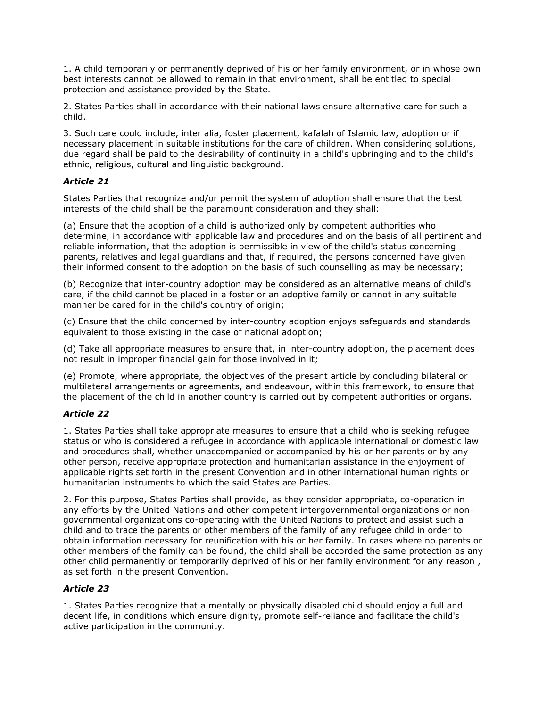1. A child temporarily or permanently deprived of his or her family environment, or in whose own best interests cannot be allowed to remain in that environment, shall be entitled to special protection and assistance provided by the State.

2. States Parties shall in accordance with their national laws ensure alternative care for such a child.

3. Such care could include, inter alia, foster placement, kafalah of Islamic law, adoption or if necessary placement in suitable institutions for the care of children. When considering solutions, due regard shall be paid to the desirability of continuity in a child's upbringing and to the child's ethnic, religious, cultural and linguistic background.

# *Article 21*

States Parties that recognize and/or permit the system of adoption shall ensure that the best interests of the child shall be the paramount consideration and they shall:

(a) Ensure that the adoption of a child is authorized only by competent authorities who determine, in accordance with applicable law and procedures and on the basis of all pertinent and reliable information, that the adoption is permissible in view of the child's status concerning parents, relatives and legal guardians and that, if required, the persons concerned have given their informed consent to the adoption on the basis of such counselling as may be necessary;

(b) Recognize that inter-country adoption may be considered as an alternative means of child's care, if the child cannot be placed in a foster or an adoptive family or cannot in any suitable manner be cared for in the child's country of origin;

(c) Ensure that the child concerned by inter-country adoption enjoys safeguards and standards equivalent to those existing in the case of national adoption;

(d) Take all appropriate measures to ensure that, in inter-country adoption, the placement does not result in improper financial gain for those involved in it;

(e) Promote, where appropriate, the objectives of the present article by concluding bilateral or multilateral arrangements or agreements, and endeavour, within this framework, to ensure that the placement of the child in another country is carried out by competent authorities or organs.

# *Article 22*

1. States Parties shall take appropriate measures to ensure that a child who is seeking refugee status or who is considered a refugee in accordance with applicable international or domestic law and procedures shall, whether unaccompanied or accompanied by his or her parents or by any other person, receive appropriate protection and humanitarian assistance in the enjoyment of applicable rights set forth in the present Convention and in other international human rights or humanitarian instruments to which the said States are Parties.

2. For this purpose, States Parties shall provide, as they consider appropriate, co-operation in any efforts by the United Nations and other competent intergovernmental organizations or nongovernmental organizations co-operating with the United Nations to protect and assist such a child and to trace the parents or other members of the family of any refugee child in order to obtain information necessary for reunification with his or her family. In cases where no parents or other members of the family can be found, the child shall be accorded the same protection as any other child permanently or temporarily deprived of his or her family environment for any reason , as set forth in the present Convention.

# *Article 23*

1. States Parties recognize that a mentally or physically disabled child should enjoy a full and decent life, in conditions which ensure dignity, promote self-reliance and facilitate the child's active participation in the community.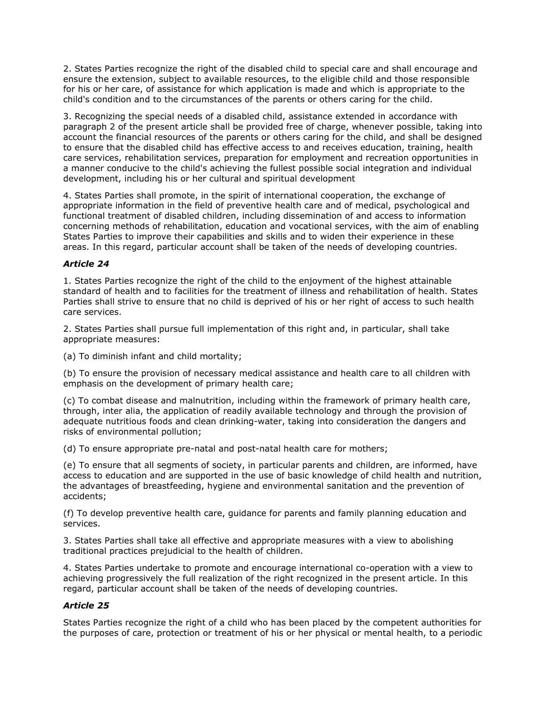2. States Parties recognize the right of the disabled child to special care and shall encourage and ensure the extension, subject to available resources, to the eligible child and those responsible for his or her care, of assistance for which application is made and which is appropriate to the child's condition and to the circumstances of the parents or others caring for the child.

3. Recognizing the special needs of a disabled child, assistance extended in accordance with paragraph 2 of the present article shall be provided free of charge, whenever possible, taking into account the financial resources of the parents or others caring for the child, and shall be designed to ensure that the disabled child has effective access to and receives education, training, health care services, rehabilitation services, preparation for employment and recreation opportunities in a manner conducive to the child's achieving the fullest possible social integration and individual development, including his or her cultural and spiritual development

4. States Parties shall promote, in the spirit of international cooperation, the exchange of appropriate information in the field of preventive health care and of medical, psychological and functional treatment of disabled children, including dissemination of and access to information concerning methods of rehabilitation, education and vocational services, with the aim of enabling States Parties to improve their capabilities and skills and to widen their experience in these areas. In this regard, particular account shall be taken of the needs of developing countries.

# *Article 24*

1. States Parties recognize the right of the child to the enjoyment of the highest attainable standard of health and to facilities for the treatment of illness and rehabilitation of health. States Parties shall strive to ensure that no child is deprived of his or her right of access to such health care services.

2. States Parties shall pursue full implementation of this right and, in particular, shall take appropriate measures:

(a) To diminish infant and child mortality;

(b) To ensure the provision of necessary medical assistance and health care to all children with emphasis on the development of primary health care;

(c) To combat disease and malnutrition, including within the framework of primary health care, through, inter alia, the application of readily available technology and through the provision of adequate nutritious foods and clean drinking-water, taking into consideration the dangers and risks of environmental pollution;

(d) To ensure appropriate pre-natal and post-natal health care for mothers;

(e) To ensure that all segments of society, in particular parents and children, are informed, have access to education and are supported in the use of basic knowledge of child health and nutrition, the advantages of breastfeeding, hygiene and environmental sanitation and the prevention of accidents;

(f) To develop preventive health care, guidance for parents and family planning education and services.

3. States Parties shall take all effective and appropriate measures with a view to abolishing traditional practices prejudicial to the health of children.

4. States Parties undertake to promote and encourage international co-operation with a view to achieving progressively the full realization of the right recognized in the present article. In this regard, particular account shall be taken of the needs of developing countries.

# *Article 25*

States Parties recognize the right of a child who has been placed by the competent authorities for the purposes of care, protection or treatment of his or her physical or mental health, to a periodic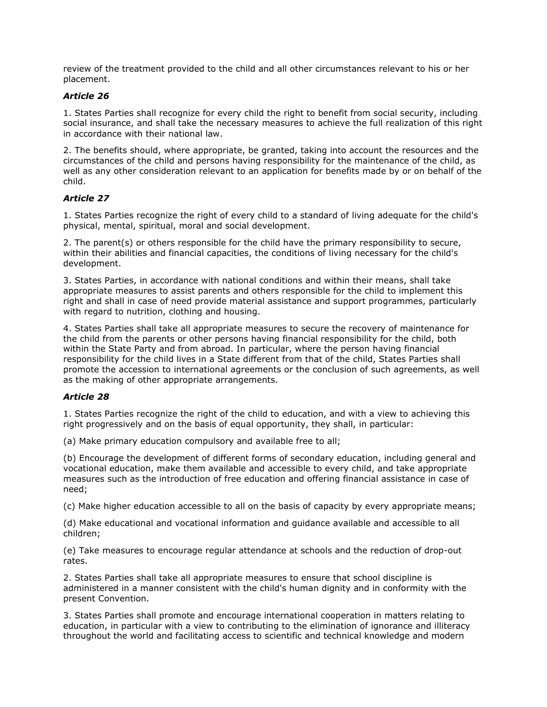review of the treatment provided to the child and all other circumstances relevant to his or her placement.

# *Article 26*

1. States Parties shall recognize for every child the right to benefit from social security, including social insurance, and shall take the necessary measures to achieve the full realization of this right in accordance with their national law.

2. The benefits should, where appropriate, be granted, taking into account the resources and the circumstances of the child and persons having responsibility for the maintenance of the child, as well as any other consideration relevant to an application for benefits made by or on behalf of the child.

# *Article 27*

1. States Parties recognize the right of every child to a standard of living adequate for the child's physical, mental, spiritual, moral and social development.

2. The parent(s) or others responsible for the child have the primary responsibility to secure, within their abilities and financial capacities, the conditions of living necessary for the child's development.

3. States Parties, in accordance with national conditions and within their means, shall take appropriate measures to assist parents and others responsible for the child to implement this right and shall in case of need provide material assistance and support programmes, particularly with regard to nutrition, clothing and housing.

4. States Parties shall take all appropriate measures to secure the recovery of maintenance for the child from the parents or other persons having financial responsibility for the child, both within the State Party and from abroad. In particular, where the person having financial responsibility for the child lives in a State different from that of the child, States Parties shall promote the accession to international agreements or the conclusion of such agreements, as well as the making of other appropriate arrangements.

# *Article 28*

1. States Parties recognize the right of the child to education, and with a view to achieving this right progressively and on the basis of equal opportunity, they shall, in particular:

(a) Make primary education compulsory and available free to all;

(b) Encourage the development of different forms of secondary education, including general and vocational education, make them available and accessible to every child, and take appropriate measures such as the introduction of free education and offering financial assistance in case of need;

(c) Make higher education accessible to all on the basis of capacity by every appropriate means;

(d) Make educational and vocational information and guidance available and accessible to all children;

(e) Take measures to encourage regular attendance at schools and the reduction of drop-out rates.

2. States Parties shall take all appropriate measures to ensure that school discipline is administered in a manner consistent with the child's human dignity and in conformity with the present Convention.

3. States Parties shall promote and encourage international cooperation in matters relating to education, in particular with a view to contributing to the elimination of ignorance and illiteracy throughout the world and facilitating access to scientific and technical knowledge and modern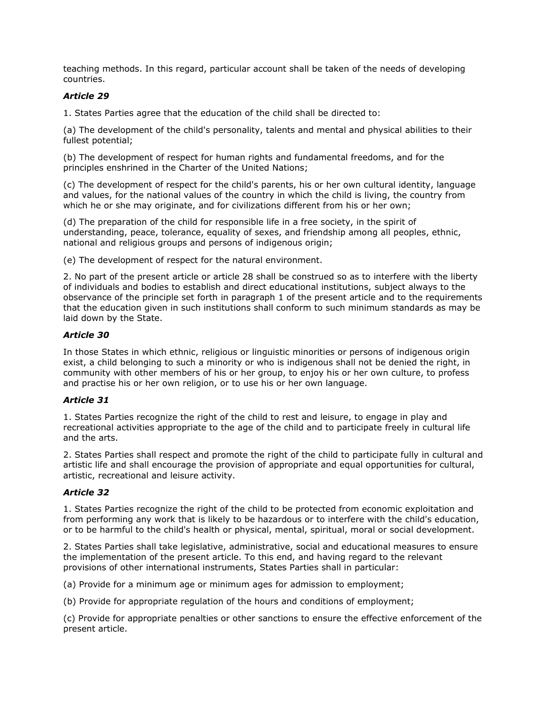teaching methods. In this regard, particular account shall be taken of the needs of developing countries.

## *Article 29*

1. States Parties agree that the education of the child shall be directed to:

(a) The development of the child's personality, talents and mental and physical abilities to their fullest potential;

(b) The development of respect for human rights and fundamental freedoms, and for the principles enshrined in the Charter of the United Nations;

(c) The development of respect for the child's parents, his or her own cultural identity, language and values, for the national values of the country in which the child is living, the country from which he or she may originate, and for civilizations different from his or her own;

(d) The preparation of the child for responsible life in a free society, in the spirit of understanding, peace, tolerance, equality of sexes, and friendship among all peoples, ethnic, national and religious groups and persons of indigenous origin;

(e) The development of respect for the natural environment.

2. No part of the present article or article 28 shall be construed so as to interfere with the liberty of individuals and bodies to establish and direct educational institutions, subject always to the observance of the principle set forth in paragraph 1 of the present article and to the requirements that the education given in such institutions shall conform to such minimum standards as may be laid down by the State.

#### *Article 30*

In those States in which ethnic, religious or linguistic minorities or persons of indigenous origin exist, a child belonging to such a minority or who is indigenous shall not be denied the right, in community with other members of his or her group, to enjoy his or her own culture, to profess and practise his or her own religion, or to use his or her own language.

# *Article 31*

1. States Parties recognize the right of the child to rest and leisure, to engage in play and recreational activities appropriate to the age of the child and to participate freely in cultural life and the arts.

2. States Parties shall respect and promote the right of the child to participate fully in cultural and artistic life and shall encourage the provision of appropriate and equal opportunities for cultural, artistic, recreational and leisure activity.

# *Article 32*

1. States Parties recognize the right of the child to be protected from economic exploitation and from performing any work that is likely to be hazardous or to interfere with the child's education, or to be harmful to the child's health or physical, mental, spiritual, moral or social development.

2. States Parties shall take legislative, administrative, social and educational measures to ensure the implementation of the present article. To this end, and having regard to the relevant provisions of other international instruments, States Parties shall in particular:

(a) Provide for a minimum age or minimum ages for admission to employment;

(b) Provide for appropriate regulation of the hours and conditions of employment;

(c) Provide for appropriate penalties or other sanctions to ensure the effective enforcement of the present article.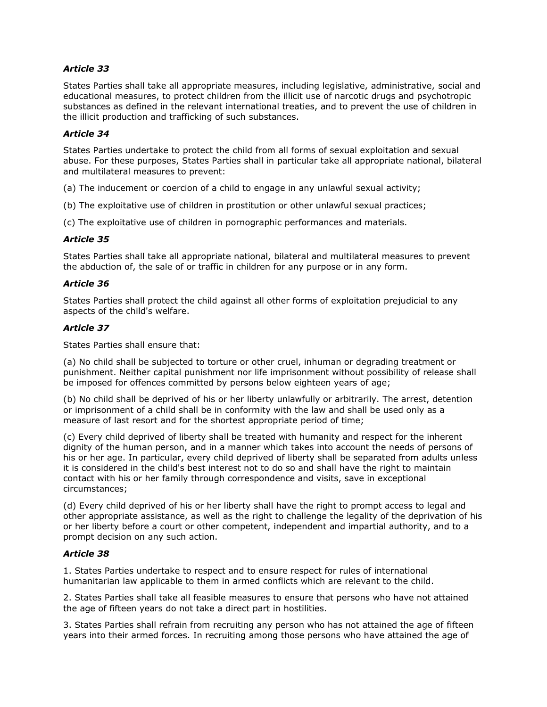# *Article 33*

States Parties shall take all appropriate measures, including legislative, administrative, social and educational measures, to protect children from the illicit use of narcotic drugs and psychotropic substances as defined in the relevant international treaties, and to prevent the use of children in the illicit production and trafficking of such substances.

## *Article 34*

States Parties undertake to protect the child from all forms of sexual exploitation and sexual abuse. For these purposes, States Parties shall in particular take all appropriate national, bilateral and multilateral measures to prevent:

(a) The inducement or coercion of a child to engage in any unlawful sexual activity;

(b) The exploitative use of children in prostitution or other unlawful sexual practices;

(c) The exploitative use of children in pornographic performances and materials.

#### *Article 35*

States Parties shall take all appropriate national, bilateral and multilateral measures to prevent the abduction of, the sale of or traffic in children for any purpose or in any form.

#### *Article 36*

States Parties shall protect the child against all other forms of exploitation prejudicial to any aspects of the child's welfare.

#### *Article 37*

States Parties shall ensure that:

(a) No child shall be subjected to torture or other cruel, inhuman or degrading treatment or punishment. Neither capital punishment nor life imprisonment without possibility of release shall be imposed for offences committed by persons below eighteen years of age;

(b) No child shall be deprived of his or her liberty unlawfully or arbitrarily. The arrest, detention or imprisonment of a child shall be in conformity with the law and shall be used only as a measure of last resort and for the shortest appropriate period of time;

(c) Every child deprived of liberty shall be treated with humanity and respect for the inherent dignity of the human person, and in a manner which takes into account the needs of persons of his or her age. In particular, every child deprived of liberty shall be separated from adults unless it is considered in the child's best interest not to do so and shall have the right to maintain contact with his or her family through correspondence and visits, save in exceptional circumstances;

(d) Every child deprived of his or her liberty shall have the right to prompt access to legal and other appropriate assistance, as well as the right to challenge the legality of the deprivation of his or her liberty before a court or other competent, independent and impartial authority, and to a prompt decision on any such action.

#### *Article 38*

1. States Parties undertake to respect and to ensure respect for rules of international humanitarian law applicable to them in armed conflicts which are relevant to the child.

2. States Parties shall take all feasible measures to ensure that persons who have not attained the age of fifteen years do not take a direct part in hostilities.

3. States Parties shall refrain from recruiting any person who has not attained the age of fifteen years into their armed forces. In recruiting among those persons who have attained the age of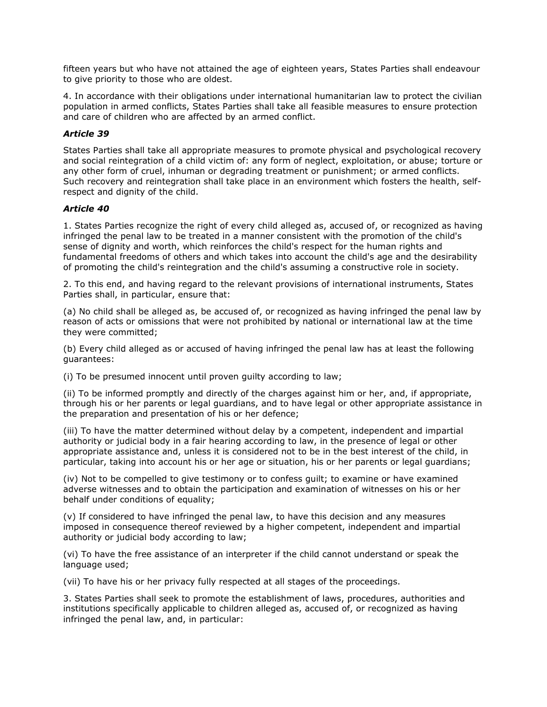fifteen years but who have not attained the age of eighteen years, States Parties shall endeavour to give priority to those who are oldest.

4. In accordance with their obligations under international humanitarian law to protect the civilian population in armed conflicts, States Parties shall take all feasible measures to ensure protection and care of children who are affected by an armed conflict.

## *Article 39*

States Parties shall take all appropriate measures to promote physical and psychological recovery and social reintegration of a child victim of: any form of neglect, exploitation, or abuse; torture or any other form of cruel, inhuman or degrading treatment or punishment; or armed conflicts. Such recovery and reintegration shall take place in an environment which fosters the health, selfrespect and dignity of the child.

#### *Article 40*

1. States Parties recognize the right of every child alleged as, accused of, or recognized as having infringed the penal law to be treated in a manner consistent with the promotion of the child's sense of dignity and worth, which reinforces the child's respect for the human rights and fundamental freedoms of others and which takes into account the child's age and the desirability of promoting the child's reintegration and the child's assuming a constructive role in society.

2. To this end, and having regard to the relevant provisions of international instruments, States Parties shall, in particular, ensure that:

(a) No child shall be alleged as, be accused of, or recognized as having infringed the penal law by reason of acts or omissions that were not prohibited by national or international law at the time they were committed;

(b) Every child alleged as or accused of having infringed the penal law has at least the following guarantees:

(i) To be presumed innocent until proven guilty according to law;

(ii) To be informed promptly and directly of the charges against him or her, and, if appropriate, through his or her parents or legal guardians, and to have legal or other appropriate assistance in the preparation and presentation of his or her defence;

(iii) To have the matter determined without delay by a competent, independent and impartial authority or judicial body in a fair hearing according to law, in the presence of legal or other appropriate assistance and, unless it is considered not to be in the best interest of the child, in particular, taking into account his or her age or situation, his or her parents or legal guardians;

(iv) Not to be compelled to give testimony or to confess guilt; to examine or have examined adverse witnesses and to obtain the participation and examination of witnesses on his or her behalf under conditions of equality;

(v) If considered to have infringed the penal law, to have this decision and any measures imposed in consequence thereof reviewed by a higher competent, independent and impartial authority or judicial body according to law;

(vi) To have the free assistance of an interpreter if the child cannot understand or speak the language used;

(vii) To have his or her privacy fully respected at all stages of the proceedings.

3. States Parties shall seek to promote the establishment of laws, procedures, authorities and institutions specifically applicable to children alleged as, accused of, or recognized as having infringed the penal law, and, in particular: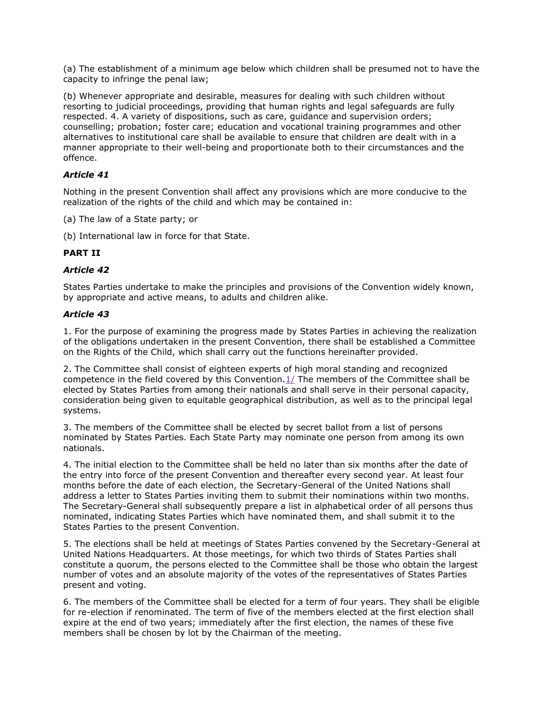(a) The establishment of a minimum age below which children shall be presumed not to have the capacity to infringe the penal law;

(b) Whenever appropriate and desirable, measures for dealing with such children without resorting to judicial proceedings, providing that human rights and legal safeguards are fully respected. 4. A variety of dispositions, such as care, guidance and supervision orders; counselling; probation; foster care; education and vocational training programmes and other alternatives to institutional care shall be available to ensure that children are dealt with in a manner appropriate to their well-being and proportionate both to their circumstances and the offence.

# *Article 41*

Nothing in the present Convention shall affect any provisions which are more conducive to the realization of the rights of the child and which may be contained in:

(a) The law of a State party; or

(b) International law in force for that State.

# **PART II**

#### *Article 42*

States Parties undertake to make the principles and provisions of the Convention widely known, by appropriate and active means, to adults and children alike.

#### *Article 43*

1. For the purpose of examining the progress made by States Parties in achieving the realization of the obligations undertaken in the present Convention, there shall be established a Committee on the Rights of the Child, which shall carry out the functions hereinafter provided.

2. The Committee shall consist of eighteen experts of high moral standing and recognized competence in the field covered by this Convention[.1/](https://www.ohchr.org/EN/ProfessionalInterest/Pages/CRC.aspx?ControlMode=Edit&DisplayMode=Design#1) The members of the Committee shall be elected by States Parties from among their nationals and shall serve in their personal capacity, consideration being given to equitable geographical distribution, as well as to the principal legal systems.

3. The members of the Committee shall be elected by secret ballot from a list of persons nominated by States Parties. Each State Party may nominate one person from among its own nationals.

4. The initial election to the Committee shall be held no later than six months after the date of the entry into force of the present Convention and thereafter every second year. At least four months before the date of each election, the Secretary-General of the United Nations shall address a letter to States Parties inviting them to submit their nominations within two months. The Secretary-General shall subsequently prepare a list in alphabetical order of all persons thus nominated, indicating States Parties which have nominated them, and shall submit it to the States Parties to the present Convention.

5. The elections shall be held at meetings of States Parties convened by the Secretary-General at United Nations Headquarters. At those meetings, for which two thirds of States Parties shall constitute a quorum, the persons elected to the Committee shall be those who obtain the largest number of votes and an absolute majority of the votes of the representatives of States Parties present and voting.

6. The members of the Committee shall be elected for a term of four years. They shall be eligible for re-election if renominated. The term of five of the members elected at the first election shall expire at the end of two years; immediately after the first election, the names of these five members shall be chosen by lot by the Chairman of the meeting.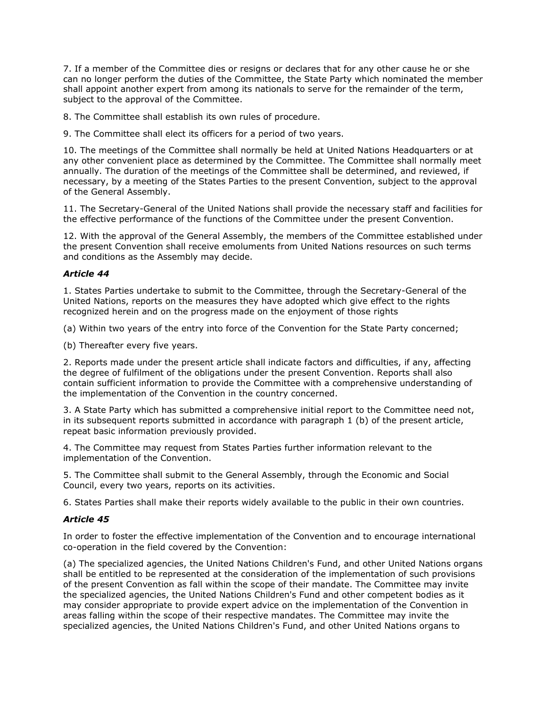7. If a member of the Committee dies or resigns or declares that for any other cause he or she can no longer perform the duties of the Committee, the State Party which nominated the member shall appoint another expert from among its nationals to serve for the remainder of the term, subject to the approval of the Committee.

8. The Committee shall establish its own rules of procedure.

9. The Committee shall elect its officers for a period of two years.

10. The meetings of the Committee shall normally be held at United Nations Headquarters or at any other convenient place as determined by the Committee. The Committee shall normally meet annually. The duration of the meetings of the Committee shall be determined, and reviewed, if necessary, by a meeting of the States Parties to the present Convention, subject to the approval of the General Assembly.

11. The Secretary-General of the United Nations shall provide the necessary staff and facilities for the effective performance of the functions of the Committee under the present Convention.

12. With the approval of the General Assembly, the members of the Committee established under the present Convention shall receive emoluments from United Nations resources on such terms and conditions as the Assembly may decide.

#### *Article 44*

1. States Parties undertake to submit to the Committee, through the Secretary-General of the United Nations, reports on the measures they have adopted which give effect to the rights recognized herein and on the progress made on the enjoyment of those rights

(a) Within two years of the entry into force of the Convention for the State Party concerned;

(b) Thereafter every five years.

2. Reports made under the present article shall indicate factors and difficulties, if any, affecting the degree of fulfilment of the obligations under the present Convention. Reports shall also contain sufficient information to provide the Committee with a comprehensive understanding of the implementation of the Convention in the country concerned.

3. A State Party which has submitted a comprehensive initial report to the Committee need not, in its subsequent reports submitted in accordance with paragraph 1 (b) of the present article, repeat basic information previously provided.

4. The Committee may request from States Parties further information relevant to the implementation of the Convention.

5. The Committee shall submit to the General Assembly, through the Economic and Social Council, every two years, reports on its activities.

6. States Parties shall make their reports widely available to the public in their own countries.

# *Article 45*

In order to foster the effective implementation of the Convention and to encourage international co-operation in the field covered by the Convention:

(a) The specialized agencies, the United Nations Children's Fund, and other United Nations organs shall be entitled to be represented at the consideration of the implementation of such provisions of the present Convention as fall within the scope of their mandate. The Committee may invite the specialized agencies, the United Nations Children's Fund and other competent bodies as it may consider appropriate to provide expert advice on the implementation of the Convention in areas falling within the scope of their respective mandates. The Committee may invite the specialized agencies, the United Nations Children's Fund, and other United Nations organs to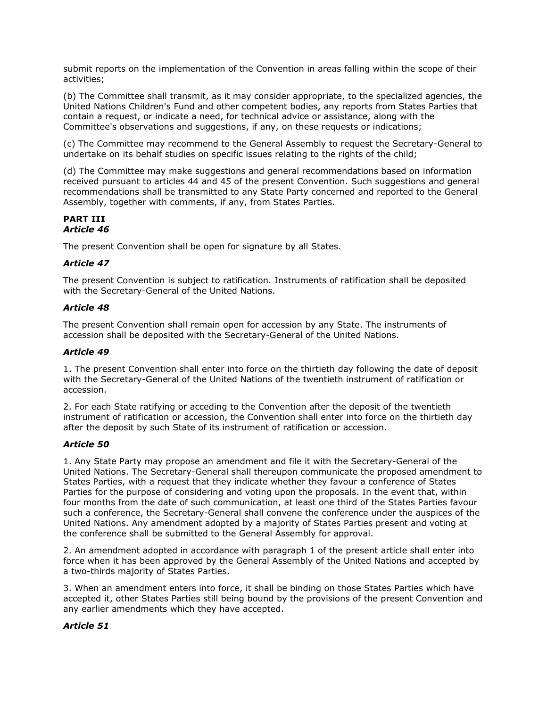submit reports on the implementation of the Convention in areas falling within the scope of their activities;

(b) The Committee shall transmit, as it may consider appropriate, to the specialized agencies, the United Nations Children's Fund and other competent bodies, any reports from States Parties that contain a request, or indicate a need, for technical advice or assistance, along with the Committee's observations and suggestions, if any, on these requests or indications;

(c) The Committee may recommend to the General Assembly to request the Secretary-General to undertake on its behalf studies on specific issues relating to the rights of the child;

(d) The Committee may make suggestions and general recommendations based on information received pursuant to articles 44 and 45 of the present Convention. Such suggestions and general recommendations shall be transmitted to any State Party concerned and reported to the General Assembly, together with comments, if any, from States Parties.

#### **PART III** *Article 46*

The present Convention shall be open for signature by all States.

# *Article 47*

The present Convention is subject to ratification. Instruments of ratification shall be deposited with the Secretary-General of the United Nations.

# *Article 48*

The present Convention shall remain open for accession by any State. The instruments of accession shall be deposited with the Secretary-General of the United Nations.

# *Article 49*

1. The present Convention shall enter into force on the thirtieth day following the date of deposit with the Secretary-General of the United Nations of the twentieth instrument of ratification or accession.

2. For each State ratifying or acceding to the Convention after the deposit of the twentieth instrument of ratification or accession, the Convention shall enter into force on the thirtieth day after the deposit by such State of its instrument of ratification or accession.

# *Article 50*

1. Any State Party may propose an amendment and file it with the Secretary-General of the United Nations. The Secretary-General shall thereupon communicate the proposed amendment to States Parties, with a request that they indicate whether they favour a conference of States Parties for the purpose of considering and voting upon the proposals. In the event that, within four months from the date of such communication, at least one third of the States Parties favour such a conference, the Secretary-General shall convene the conference under the auspices of the United Nations. Any amendment adopted by a majority of States Parties present and voting at the conference shall be submitted to the General Assembly for approval.

2. An amendment adopted in accordance with paragraph 1 of the present article shall enter into force when it has been approved by the General Assembly of the United Nations and accepted by a two-thirds majority of States Parties.

3. When an amendment enters into force, it shall be binding on those States Parties which have accepted it, other States Parties still being bound by the provisions of the present Convention and any earlier amendments which they have accepted.

# *Article 51*